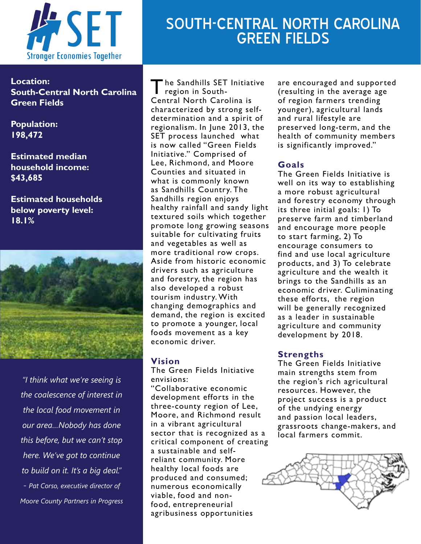

# SOUTH-CENTRAL NORTH CAROLINA GREEN FIELDS

**Location: South-Central North Carolina Green Fields**

**Population: 198,472**

**Estimated median household income: \$43,685**

**Estimated households below poverty level: 18.1%**



*"I think what we're seeing is the coalescence of interest in the local food movement in our area…Nobody has done this before, but we can't stop here. We've got to continue to build on it. It's a big deal." - Pat Corso, executive director of Moore County Partners in Progress*

The Sandhills SET Initiative region in South-Central North Carolina is characterized by strong selfdetermination and a spirit of regionalism. In June 2013, the SET process launched what is now called "Green Fields Initiative." Comprised of Lee, Richmond, and Moore Counties and situated in what is commonly known as Sandhills Country. The Sandhills region enjoys healthy rainfall and sandy light textured soils which together promote long growing seasons suitable for cultivating fruits and vegetables as well as more traditional row crops. Aside from historic economic drivers such as agriculture and forestry, the region has also developed a robust tourism industry. With changing demographics and demand, the region is excited to promote a younger, local foods movement as a key economic driver.

# **Vision**

The Green Fields Initiative envisions:

"Collaborative economic development efforts in the three-county region of Lee, Moore, and Richmond result in a vibrant agricultural sector that is recognized as a critical component of creating a sustainable and selfreliant community. More healthy local foods are produced and consumed; numerous economically viable, food and nonfood, entrepreneurial agribusiness opportunities

are encouraged and supported (resulting in the average age of region farmers trending younger), agricultural lands and rural lifestyle are preserved long-term, and the health of community members is significantly improved."

# **Goals**

The Green Fields Initiative is well on its way to establishing a more robust agricultural and forestry economy through its three initial goals: 1) To preserve farm and timberland and encourage more people to start farming, 2) To encourage consumers to find and use local agriculture products, and 3) To celebrate agriculture and the wealth it brings to the Sandhills as an economic driver. Culiminating these efforts, the region will be generally recognized as a leader in sustainable agriculture and community development by 2018.

## **Strengths**

The Green Fields Initiative main strengths stem from the region's rich agricultural resources. However, the project success is a product of the undying energy and passion local leaders, grassroots change-makers, and local farmers commit.